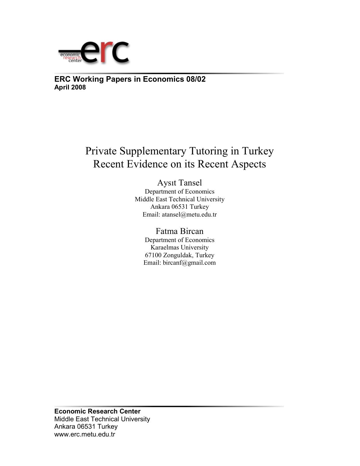

**ERC Working Papers in Economics 08/02 April 2008**

# Private Supplementary Tutoring in Turkey Recent Evidence on its Recent Aspects

Aysıt Tansel Department of Economics Middle East Technical University Ankara 06531 Turkey Email: atansel@metu.edu.tr

# Fatma Bircan

Department of Economics Karaelmas University 67100 Zonguldak, Turkey Email: bircanf@gmail.com

**Economic Research Center**  Middle East Technical University Ankara 06531 Turkey www.erc.metu.edu.tr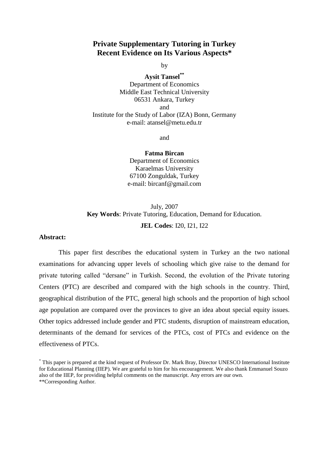## **Private Supplementary Tutoring in Turkey Recent Evidence on Its Various Aspects\***

by

**Aysit Tansel\*\*** Department of Economics Middle East Technical University 06531 Ankara, Turkey and Institute for the Study of Labor (IZA) Bonn, Germany e-mail: atansel@metu.edu.tr

and

**Fatma Bircan** Department of Economics Karaelmas University 67100 Zonguldak, Turkey e-mail: bircanf@gmail.com

# July, 2007 **Key Words**: Private Tutoring, Education, Demand for Education. **JEL Codes**: I20, I21, I22

### **Abstract:**

This paper first describes the educational system in Turkey an the two national examinations for advancing upper levels of schooling which give raise to the demand for private tutoring called "dersane" in Turkish. Second, the evolution of the Private tutoring Centers (PTC) are described and compared with the high schools in the country. Third, geographical distribution of the PTC, general high schools and the proportion of high school age population are compared over the provinces to give an idea about special equity issues. Other topics addressed include gender and PTC students, disruption of mainstream education, determinants of the demand for services of the PTCs, cost of PTCs and evidence on the effectiveness of PTCs.

<sup>\*</sup> This paper is prepared at the kind request of Professor Dr. Mark Bray, Director UNESCO International Institute for Educational Planning (IIEP). We are grateful to him for his encouragement. We also thank Emmanuel Souzo also of the IIEP, for providing helpful comments on the manuscript. Any errors are our own. \*\*Corresponding Author.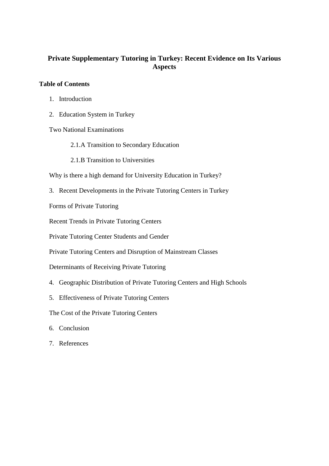# **Private Supplementary Tutoring in Turkey: Recent Evidence on Its Various Aspects**

## **Table of Contents**

- 1. Introduction
- 2. Education System in Turkey

Two National Examinations

- 2.1.A Transition to Secondary Education
- 2.1.B Transition to Universities

Why is there a high demand for University Education in Turkey?

3. Recent Developments in the Private Tutoring Centers in Turkey

Forms of Private Tutoring

Recent Trends in Private Tutoring Centers

Private Tutoring Center Students and Gender

Private Tutoring Centers and Disruption of Mainstream Classes

Determinants of Receiving Private Tutoring

- 4. Geographic Distribution of Private Tutoring Centers and High Schools
- 5. Effectiveness of Private Tutoring Centers

The Cost of the Private Tutoring Centers

- 6. Conclusion
- 7. References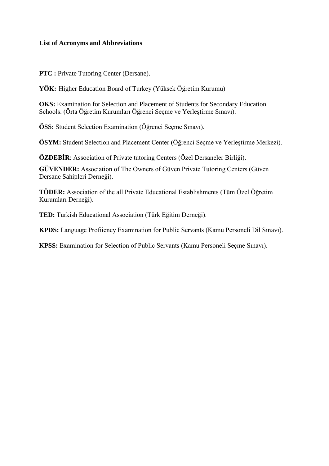## **List of Acronyms and Abbreviations**

**PTC :** Private Tutoring Center (Dersane).

**YÖK:** Higher Education Board of Turkey (Yüksek Öğretim Kurumu)

**OKS:** Examination for Selection and Placement of Students for Secondary Education Schools. (Örta Öğretim Kurumları Öğrenci Seçme ve Yerleştirme Sınavı).

**ÖSS:** Student Selection Examination (Öğrenci Seçme Sınavı).

**ÖSYM:** Student Selection and Placement Center (Öğrenci Seçme ve Yerleştirme Merkezi).

**ÖZDEBİR**: Association of Private tutoring Centers (Özel Dersaneler Birliği).

**GÜVENDER:** Association of The Owners of Güven Private Tutoring Centers (Güven Dersane Sahipleri Derneği).

**TÖDER:** Association of the all Private Educational Establishments (Tüm Özel Öğretim Kurumları Derneği).

**TED:** Turkish Educational Association (Türk Eğitim Derneği).

**KPDS:** Language Profiiency Examination for Public Servants (Kamu Personeli Dil Sınavı).

**KPSS:** Examination for Selection of Public Servants (Kamu Personeli Seçme Sınavı).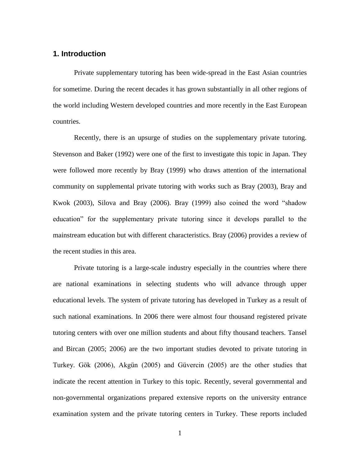## **1. Introduction**

Private supplementary tutoring has been wide-spread in the East Asian countries for sometime. During the recent decades it has grown substantially in all other regions of the world including Western developed countries and more recently in the East European countries.

Recently, there is an upsurge of studies on the supplementary private tutoring. Stevenson and Baker (1992) were one of the first to investigate this topic in Japan. They were followed more recently by Bray (1999) who draws attention of the international community on supplemental private tutoring with works such as Bray (2003), Bray and Kwok (2003), Silova and Bray (2006). Bray (1999) also coined the word "shadow education" for the supplementary private tutoring since it develops parallel to the mainstream education but with different characteristics. Bray (2006) provides a review of the recent studies in this area.

Private tutoring is a large-scale industry especially in the countries where there are national examinations in selecting students who will advance through upper educational levels. The system of private tutoring has developed in Turkey as a result of such national examinations. In 2006 there were almost four thousand registered private tutoring centers with over one million students and about fifty thousand teachers. Tansel and Bircan (2005; 2006) are the two important studies devoted to private tutoring in Turkey. Gök (2006), Akgün (2005) and Güvercin (2005) are the other studies that indicate the recent attention in Turkey to this topic. Recently, several governmental and non-governmental organizations prepared extensive reports on the university entrance examination system and the private tutoring centers in Turkey. These reports included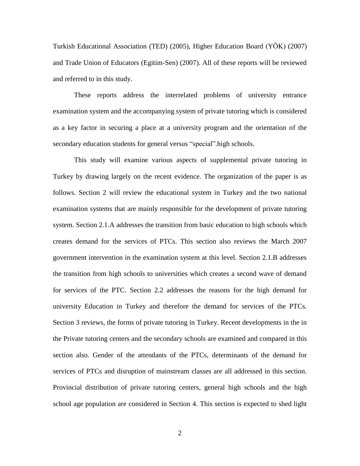Turkish Educational Association (TED) (2005), Higher Education Board (YÖK) (2007) and Trade Union of Educators (Egitim-Sen) (2007). All of these reports will be reviewed and referred to in this study.

These reports address the interrelated problems of university entrance examination system and the accompanying system of private tutoring which is considered as a key factor in securing a place at a university program and the orientation of the secondary education students for general versus "special".high schools.

This study will examine various aspects of supplemental private tutoring in Turkey by drawing largely on the recent evidence. The organization of the paper is as follows. Section 2 will review the educational system in Turkey and the two national examination systems that are mainly responsible for the development of private tutoring system. Section 2.1.A addresses the transition from basic education to high schools which creates demand for the services of PTCs. This section also reviews the March 2007 government intervention in the examination system at this level. Section 2.1.B addresses the transition from high schools to universities which creates a second wave of demand for services of the PTC. Section 2.2 addresses the reasons for the high demand for university Education in Turkey and therefore the demand for services of the PTCs. Section 3 reviews, the forms of private tutoring in Turkey. Recent developments in the in the Private tutoring centers and the secondary schools are examined and compared in this section also. Gender of the attendants of the PTCs, determinants of the demand for services of PTCs and disruption of mainstream classes are all addressed in this section. Provincial distribution of private tutoring centers, general high schools and the high school age population are considered in Section 4. This section is expected to shed light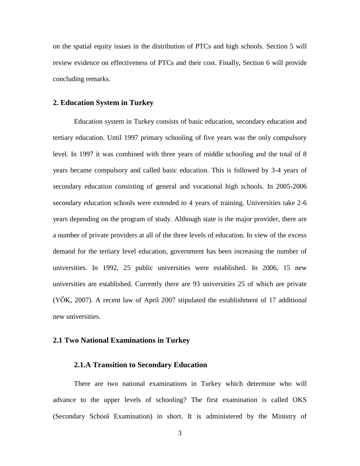on the spatial equity issues in the distribution of PTCs and high schools. Section 5 will review evidence on effectiveness of PTCs and their cost. Finally, Section 6 will provide concluding remarks.

#### **2. Education System in Turkey**

Education system in Turkey consists of basic education, secondary education and tertiary education. Until 1997 primary schooling of five years was the only compulsory level. In 1997 it was combined with three years of middle schooling and the total of 8 years became compulsory and called basic education. This is followed by 3-4 years of secondary education consisting of general and vocational high schools. In 2005-2006 secondary education schools were extended to 4 years of training. Universities take 2-6 years depending on the program of study. Although state is the major provider, there are a number of private providers at all of the three levels of education. In view of the excess demand for the tertiary level education, government has been increasing the number of universities. In 1992, 25 public universities were established. In 2006, 15 new universities are established. Currently there are 93 universities 25 of which are private (YÖK, 2007). A recent law of April 2007 stipulated the establishment of 17 additional new universities.

#### **2.1 Two National Examinations in Turkey**

#### **2.1.A Transition to Secondary Education**

There are two national examinations in Turkey which determine who will advance to the upper levels of schooling? The first examination is called OKS (Secondary School Examination) in short. It is administered by the Ministry of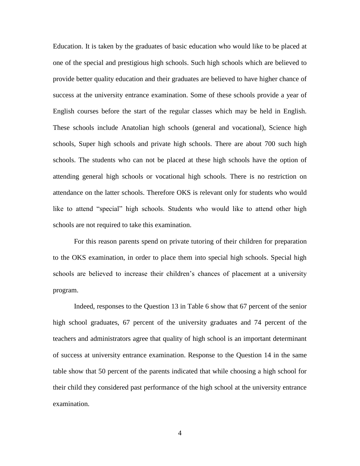Education. It is taken by the graduates of basic education who would like to be placed at one of the special and prestigious high schools. Such high schools which are believed to provide better quality education and their graduates are believed to have higher chance of success at the university entrance examination. Some of these schools provide a year of English courses before the start of the regular classes which may be held in English. These schools include Anatolian high schools (general and vocational), Science high schools, Super high schools and private high schools. There are about 700 such high schools. The students who can not be placed at these high schools have the option of attending general high schools or vocational high schools. There is no restriction on attendance on the latter schools. Therefore OKS is relevant only for students who would like to attend "special" high schools. Students who would like to attend other high schools are not required to take this examination.

For this reason parents spend on private tutoring of their children for preparation to the OKS examination, in order to place them into special high schools. Special high schools are believed to increase their children's chances of placement at a university program.

Indeed, responses to the Question 13 in Table 6 show that 67 percent of the senior high school graduates, 67 percent of the university graduates and 74 percent of the teachers and administrators agree that quality of high school is an important determinant of success at university entrance examination. Response to the Question 14 in the same table show that 50 percent of the parents indicated that while choosing a high school for their child they considered past performance of the high school at the university entrance examination.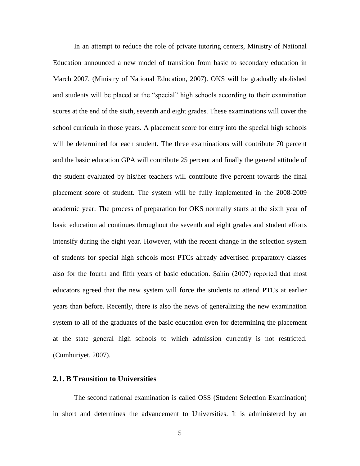In an attempt to reduce the role of private tutoring centers, Ministry of National Education announced a new model of transition from basic to secondary education in March 2007. (Ministry of National Education, 2007). OKS will be gradually abolished and students will be placed at the "special" high schools according to their examination scores at the end of the sixth, seventh and eight grades. These examinations will cover the school curricula in those years. A placement score for entry into the special high schools will be determined for each student. The three examinations will contribute 70 percent and the basic education GPA will contribute 25 percent and finally the general attitude of the student evaluated by his/her teachers will contribute five percent towards the final placement score of student. The system will be fully implemented in the 2008-2009 academic year: The process of preparation for OKS normally starts at the sixth year of basic education ad continues throughout the seventh and eight grades and student efforts intensify during the eight year. However, with the recent change in the selection system of students for special high schools most PTCs already advertised preparatory classes also for the fourth and fifth years of basic education. Şahin (2007) reported that most educators agreed that the new system will force the students to attend PTCs at earlier years than before. Recently, there is also the news of generalizing the new examination system to all of the graduates of the basic education even for determining the placement at the state general high schools to which admission currently is not restricted. (Cumhuriyet, 2007).

#### **2.1. B Transition to Universities**

The second national examination is called OSS (Student Selection Examination) in short and determines the advancement to Universities. It is administered by an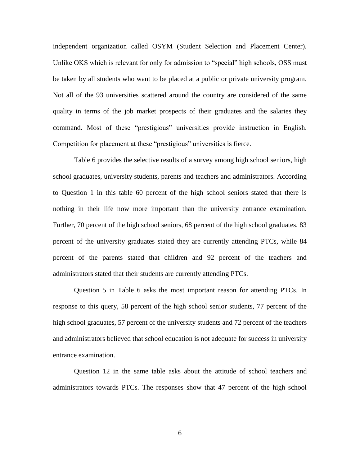independent organization called OSYM (Student Selection and Placement Center). Unlike OKS which is relevant for only for admission to "special" high schools, OSS must be taken by all students who want to be placed at a public or private university program. Not all of the 93 universities scattered around the country are considered of the same quality in terms of the job market prospects of their graduates and the salaries they command. Most of these "prestigious" universities provide instruction in English. Competition for placement at these "prestigious" universities is fierce.

Table 6 provides the selective results of a survey among high school seniors, high school graduates, university students, parents and teachers and administrators. According to Question 1 in this table 60 percent of the high school seniors stated that there is nothing in their life now more important than the university entrance examination. Further, 70 percent of the high school seniors, 68 percent of the high school graduates, 83 percent of the university graduates stated they are currently attending PTCs, while 84 percent of the parents stated that children and 92 percent of the teachers and administrators stated that their students are currently attending PTCs.

Question 5 in Table 6 asks the most important reason for attending PTCs. In response to this query, 58 percent of the high school senior students, 77 percent of the high school graduates, 57 percent of the university students and 72 percent of the teachers and administrators believed that school education is not adequate for success in university entrance examination.

Question 12 in the same table asks about the attitude of school teachers and administrators towards PTCs. The responses show that 47 percent of the high school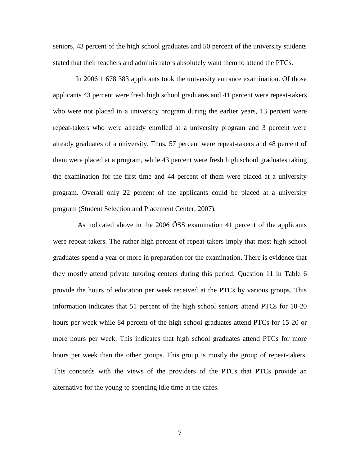seniors, 43 percent of the high school graduates and 50 percent of the university students stated that their teachers and administrators absolutely want them to attend the PTCs.

In 2006 1 678 383 applicants took the university entrance examination. Of those applicants 43 percent were fresh high school graduates and 41 percent were repeat-takers who were not placed in a university program during the earlier years, 13 percent were repeat-takers who were already enrolled at a university program and 3 percent were already graduates of a university. Thus, 57 percent were repeat-takers and 48 percent of them were placed at a program, while 43 percent were fresh high school graduates taking the examination for the first time and 44 percent of them were placed at a university program. Overall only 22 percent of the applicants could be placed at a university program (Student Selection and Placement Center, 2007).

 As indicated above in the 2006 ÖSS examination 41 percent of the applicants were repeat-takers. The rather high percent of repeat-takers imply that most high school graduates spend a year or more in preparation for the examination. There is evidence that they mostly attend private tutoring centers during this period. Question 11 in Table 6 provide the hours of education per week received at the PTCs by various groups. This information indicates that 51 percent of the high school seniors attend PTCs for 10-20 hours per week while 84 percent of the high school graduates attend PTCs for 15-20 or more hours per week. This indicates that high school graduates attend PTCs for more hours per week than the other groups. This group is mostly the group of repeat-takers. This concords with the views of the providers of the PTCs that PTCs provide an alternative for the young to spending idle time at the cafes.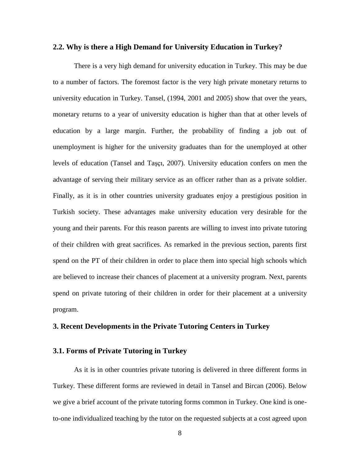#### **2.2. Why is there a High Demand for University Education in Turkey?**

There is a very high demand for university education in Turkey. This may be due to a number of factors. The foremost factor is the very high private monetary returns to university education in Turkey. Tansel, (1994, 2001 and 2005) show that over the years, monetary returns to a year of university education is higher than that at other levels of education by a large margin. Further, the probability of finding a job out of unemployment is higher for the university graduates than for the unemployed at other levels of education (Tansel and Taşçı, 2007). University education confers on men the advantage of serving their military service as an officer rather than as a private soldier. Finally, as it is in other countries university graduates enjoy a prestigious position in Turkish society. These advantages make university education very desirable for the young and their parents. For this reason parents are willing to invest into private tutoring of their children with great sacrifices. As remarked in the previous section, parents first spend on the PT of their children in order to place them into special high schools which are believed to increase their chances of placement at a university program. Next, parents spend on private tutoring of their children in order for their placement at a university program.

#### **3. Recent Developments in the Private Tutoring Centers in Turkey**

### **3.1. Forms of Private Tutoring in Turkey**

As it is in other countries private tutoring is delivered in three different forms in Turkey. These different forms are reviewed in detail in Tansel and Bircan (2006). Below we give a brief account of the private tutoring forms common in Turkey. One kind is oneto-one individualized teaching by the tutor on the requested subjects at a cost agreed upon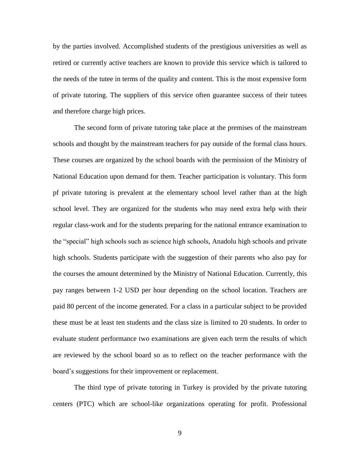by the parties involved. Accomplished students of the prestigious universities as well as retired or currently active teachers are known to provide this service which is tailored to the needs of the tutee in terms of the quality and content. This is the most expensive form of private tutoring. The suppliers of this service often guarantee success of their tutees and therefore charge high prices.

The second form of private tutoring take place at the premises of the mainstream schools and thought by the mainstream teachers for pay outside of the formal class hours. These courses are organized by the school boards with the permission of the Ministry of National Education upon demand for them. Teacher participation is voluntary. This form pf private tutoring is prevalent at the elementary school level rather than at the high school level. They are organized for the students who may need extra help with their regular class-work and for the students preparing for the national entrance examination to the "special" high schools such as science high schools, Anadolu high schools and private high schools. Students participate with the suggestion of their parents who also pay for the courses the amount determined by the Ministry of National Education. Currently, this pay ranges between 1-2 USD per hour depending on the school location. Teachers are paid 80 percent of the income generated. For a class in a particular subject to be provided these must be at least ten students and the class size is limited to 20 students. In order to evaluate student performance two examinations are given each term the results of which are reviewed by the school board so as to reflect on the teacher performance with the board's suggestions for their improvement or replacement.

The third type of private tutoring in Turkey is provided by the private tutoring centers (PTC) which are school-like organizations operating for profit. Professional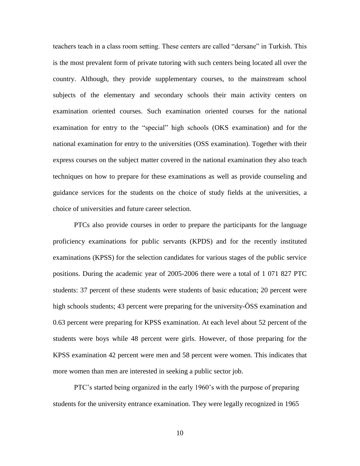teachers teach in a class room setting. These centers are called "dersane" in Turkish. This is the most prevalent form of private tutoring with such centers being located all over the country. Although, they provide supplementary courses, to the mainstream school subjects of the elementary and secondary schools their main activity centers on examination oriented courses. Such examination oriented courses for the national examination for entry to the "special" high schools (OKS examination) and for the national examination for entry to the universities (OSS examination). Together with their express courses on the subject matter covered in the national examination they also teach techniques on how to prepare for these examinations as well as provide counseling and guidance services for the students on the choice of study fields at the universities, a choice of universities and future career selection.

PTCs also provide courses in order to prepare the participants for the language proficiency examinations for public servants (KPDS) and for the recently instituted examinations (KPSS) for the selection candidates for various stages of the public service positions. During the academic year of 2005-2006 there were a total of 1 071 827 PTC students: 37 percent of these students were students of basic education; 20 percent were high schools students; 43 percent were preparing for the university- $\overline{OSS}$  examination and 0.63 percent were preparing for KPSS examination. At each level about 52 percent of the students were boys while 48 percent were girls. However, of those preparing for the KPSS examination 42 percent were men and 58 percent were women. This indicates that more women than men are interested in seeking a public sector job.

PTC's started being organized in the early 1960's with the purpose of preparing students for the university entrance examination. They were legally recognized in 1965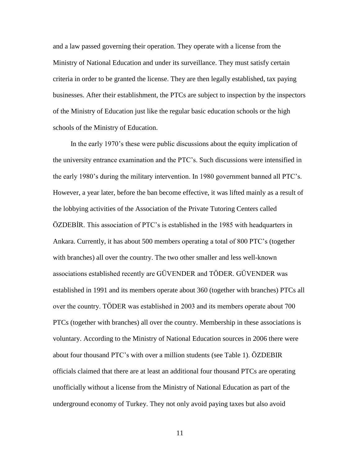and a law passed governing their operation. They operate with a license from the Ministry of National Education and under its surveillance. They must satisfy certain criteria in order to be granted the license. They are then legally established, tax paying businesses. After their establishment, the PTCs are subject to inspection by the inspectors of the Ministry of Education just like the regular basic education schools or the high schools of the Ministry of Education.

 In the early 1970's these were public discussions about the equity implication of the university entrance examination and the PTC's. Such discussions were intensified in the early 1980's during the military intervention. In 1980 government banned all PTC's. However, a year later, before the ban become effective, it was lifted mainly as a result of the lobbying activities of the Association of the Private Tutoring Centers called ÖZDEBİR. This association of PTC's is established in the 1985 with headquarters in Ankara. Currently, it has about 500 members operating a total of 800 PTC's (together with branches) all over the country. The two other smaller and less well-known associations established recently are GÜVENDER and TÖDER. GÜVENDER was established in 1991 and its members operate about 360 (together with branches) PTCs all over the country. TÖDER was established in 2003 and its members operate about 700 PTCs (together with branches) all over the country. Membership in these associations is voluntary. According to the Ministry of National Education sources in 2006 there were about four thousand PTC's with over a million students (see Table 1). ÖZDEBIR officials claimed that there are at least an additional four thousand PTCs are operating unofficially without a license from the Ministry of National Education as part of the underground economy of Turkey. They not only avoid paying taxes but also avoid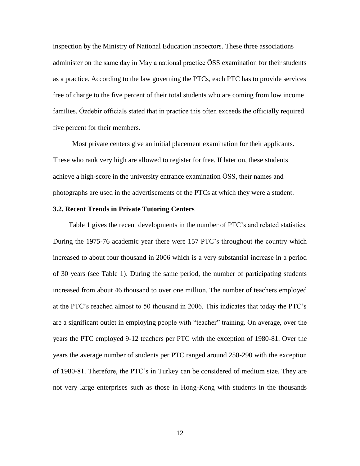inspection by the Ministry of National Education inspectors. These three associations administer on the same day in May a national practice ÖSS examination for their students as a practice. According to the law governing the PTCs, each PTC has to provide services free of charge to the five percent of their total students who are coming from low income families. Özdebir officials stated that in practice this often exceeds the officially required five percent for their members.

 Most private centers give an initial placement examination for their applicants. These who rank very high are allowed to register for free. If later on, these students achieve a high-score in the university entrance examination ÖSS, their names and photographs are used in the advertisements of the PTCs at which they were a student.

#### **3.2. Recent Trends in Private Tutoring Centers**

Table 1 gives the recent developments in the number of PTC's and related statistics. During the 1975-76 academic year there were 157 PTC's throughout the country which increased to about four thousand in 2006 which is a very substantial increase in a period of 30 years (see Table 1). During the same period, the number of participating students increased from about 46 thousand to over one million. The number of teachers employed at the PTC's reached almost to 50 thousand in 2006. This indicates that today the PTC's are a significant outlet in employing people with "teacher" training. On average, over the years the PTC employed 9-12 teachers per PTC with the exception of 1980-81. Over the years the average number of students per PTC ranged around 250-290 with the exception of 1980-81. Therefore, the PTC's in Turkey can be considered of medium size. They are not very large enterprises such as those in Hong-Kong with students in the thousands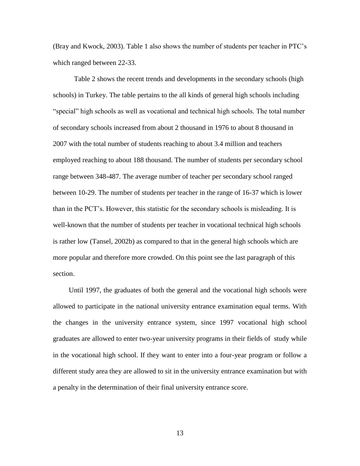(Bray and Kwock, 2003). Table 1 also shows the number of students per teacher in PTC's which ranged between 22-33.

Table 2 shows the recent trends and developments in the secondary schools (high schools) in Turkey. The table pertains to the all kinds of general high schools including ―special‖ high schools as well as vocational and technical high schools. The total number of secondary schools increased from about 2 thousand in 1976 to about 8 thousand in 2007 with the total number of students reaching to about 3.4 million and teachers employed reaching to about 188 thousand. The number of students per secondary school range between 348-487. The average number of teacher per secondary school ranged between 10-29. The number of students per teacher in the range of 16-37 which is lower than in the PCT's. However, this statistic for the secondary schools is misleading. It is well-known that the number of students per teacher in vocational technical high schools is rather low (Tansel, 2002b) as compared to that in the general high schools which are more popular and therefore more crowded. On this point see the last paragraph of this section.

Until 1997, the graduates of both the general and the vocational high schools were allowed to participate in the national university entrance examination equal terms. With the changes in the university entrance system, since 1997 vocational high school graduates are allowed to enter two-year university programs in their fields of study while in the vocational high school. If they want to enter into a four-year program or follow a different study area they are allowed to sit in the university entrance examination but with a penalty in the determination of their final university entrance score.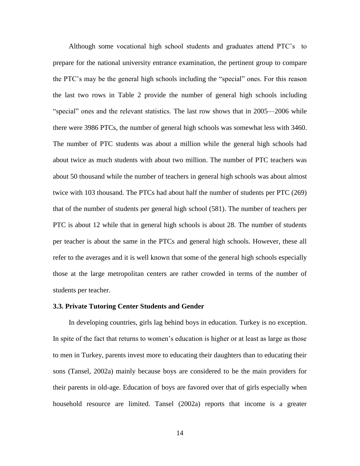Although some vocational high school students and graduates attend PTC's to prepare for the national university entrance examination, the pertinent group to compare the PTC's may be the general high schools including the "special" ones. For this reason the last two rows in Table 2 provide the number of general high schools including ―special‖ ones and the relevant statistics. The last row shows that in 2005—2006 while there were 3986 PTCs, the number of general high schools was somewhat less with 3460. The number of PTC students was about a million while the general high schools had about twice as much students with about two million. The number of PTC teachers was about 50 thousand while the number of teachers in general high schools was about almost twice with 103 thousand. The PTCs had about half the number of students per PTC (269) that of the number of students per general high school (581). The number of teachers per PTC is about 12 while that in general high schools is about 28. The number of students per teacher is about the same in the PTCs and general high schools. However, these all refer to the averages and it is well known that some of the general high schools especially those at the large metropolitan centers are rather crowded in terms of the number of students per teacher.

#### **3.3. Private Tutoring Center Students and Gender**

In developing countries, girls lag behind boys in education. Turkey is no exception. In spite of the fact that returns to women's education is higher or at least as large as those to men in Turkey, parents invest more to educating their daughters than to educating their sons (Tansel, 2002a) mainly because boys are considered to be the main providers for their parents in old-age. Education of boys are favored over that of girls especially when household resource are limited. Tansel (2002a) reports that income is a greater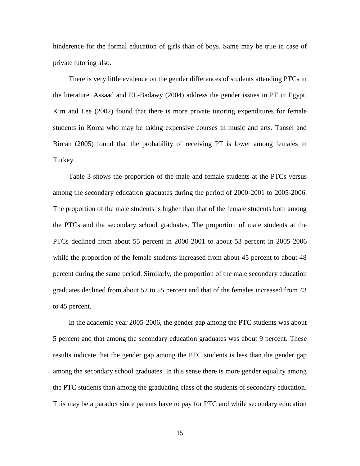hinderence for the formal education of girls than of boys. Same may be true in case of private tutoring also.

There is very little evidence on the gender differences of students attending PTCs in the literature. Assaad and EL-Badawy (2004) address the gender issues in PT in Egypt. Kim and Lee (2002) found that there is more private tutoring expenditures for female students in Korea who may be taking expensive courses in music and arts. Tansel and Bircan (2005) found that the probability of receiving PT is lower among females in Turkey.

Table 3 shows the proportion of the male and female students at the PTCs versus among the secondary education graduates during the period of 2000-2001 to 2005-2006. The proportion of the male students is higher than that of the female students both among the PTCs and the secondary school graduates. The proportion of male students at the PTCs declined from about 55 percent in 2000-2001 to about 53 percent in 2005-2006 while the proportion of the female students increased from about 45 percent to about 48 percent during the same period. Similarly, the proportion of the male secondary education graduates declined from about 57 to 55 percent and that of the females increased from 43 to 45 percent.

In the academic year 2005-2006, the gender gap among the PTC students was about 5 percent and that among the secondary education graduates was about 9 percent. These results indicate that the gender gap among the PTC students is less than the gender gap among the secondary school graduates. In this sense there is more gender equality among the PTC students than among the graduating class of the students of secondary education. This may be a paradox since parents have to pay for PTC and while secondary education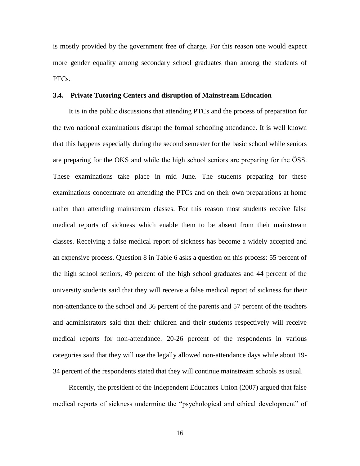is mostly provided by the government free of charge. For this reason one would expect more gender equality among secondary school graduates than among the students of PTCs.

#### **3.4. Private Tutoring Centers and disruption of Mainstream Education**

It is in the public discussions that attending PTCs and the process of preparation for the two national examinations disrupt the formal schooling attendance. It is well known that this happens especially during the second semester for the basic school while seniors are preparing for the OKS and while the high school seniors are preparing for the ÖSS. These examinations take place in mid June. The students preparing for these examinations concentrate on attending the PTCs and on their own preparations at home rather than attending mainstream classes. For this reason most students receive false medical reports of sickness which enable them to be absent from their mainstream classes. Receiving a false medical report of sickness has become a widely accepted and an expensive process. Question 8 in Table 6 asks a question on this process: 55 percent of the high school seniors, 49 percent of the high school graduates and 44 percent of the university students said that they will receive a false medical report of sickness for their non-attendance to the school and 36 percent of the parents and 57 percent of the teachers and administrators said that their children and their students respectively will receive medical reports for non-attendance. 20-26 percent of the respondents in various categories said that they will use the legally allowed non-attendance days while about 19- 34 percent of the respondents stated that they will continue mainstream schools as usual.

Recently, the president of the Independent Educators Union (2007) argued that false medical reports of sickness undermine the "psychological and ethical development" of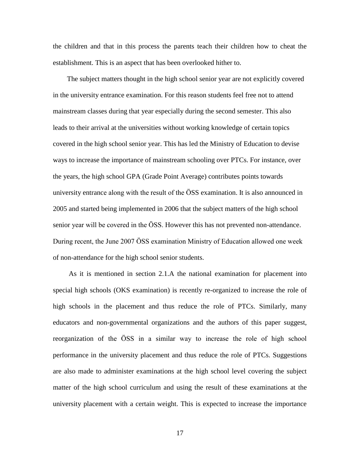the children and that in this process the parents teach their children how to cheat the establishment. This is an aspect that has been overlooked hither to.

 The subject matters thought in the high school senior year are not explicitly covered in the university entrance examination. For this reason students feel free not to attend mainstream classes during that year especially during the second semester. This also leads to their arrival at the universities without working knowledge of certain topics covered in the high school senior year. This has led the Ministry of Education to devise ways to increase the importance of mainstream schooling over PTCs. For instance, over the years, the high school GPA (Grade Point Average) contributes points towards university entrance along with the result of the ÖSS examination. It is also announced in 2005 and started being implemented in 2006 that the subject matters of the high school senior year will be covered in the ÖSS. However this has not prevented non-attendance. During recent, the June 2007 ÖSS examination Ministry of Education allowed one week of non-attendance for the high school senior students.

As it is mentioned in section 2.1.A the national examination for placement into special high schools (OKS examination) is recently re-organized to increase the role of high schools in the placement and thus reduce the role of PTCs. Similarly, many educators and non-governmental organizations and the authors of this paper suggest, reorganization of the ÖSS in a similar way to increase the role of high school performance in the university placement and thus reduce the role of PTCs. Suggestions are also made to administer examinations at the high school level covering the subject matter of the high school curriculum and using the result of these examinations at the university placement with a certain weight. This is expected to increase the importance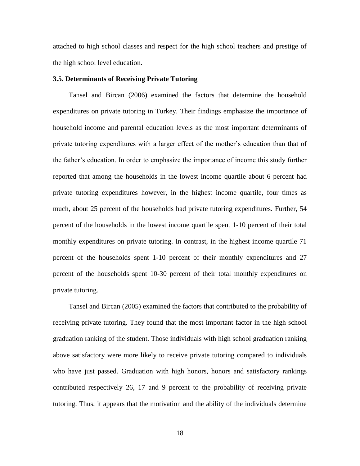attached to high school classes and respect for the high school teachers and prestige of the high school level education.

#### **3.5. Determinants of Receiving Private Tutoring**

Tansel and Bircan (2006) examined the factors that determine the household expenditures on private tutoring in Turkey. Their findings emphasize the importance of household income and parental education levels as the most important determinants of private tutoring expenditures with a larger effect of the mother's education than that of the father's education. In order to emphasize the importance of income this study further reported that among the households in the lowest income quartile about 6 percent had private tutoring expenditures however, in the highest income quartile, four times as much, about 25 percent of the households had private tutoring expenditures. Further, 54 percent of the households in the lowest income quartile spent 1-10 percent of their total monthly expenditures on private tutoring. In contrast, in the highest income quartile 71 percent of the households spent 1-10 percent of their monthly expenditures and 27 percent of the households spent 10-30 percent of their total monthly expenditures on private tutoring.

Tansel and Bircan (2005) examined the factors that contributed to the probability of receiving private tutoring. They found that the most important factor in the high school graduation ranking of the student. Those individuals with high school graduation ranking above satisfactory were more likely to receive private tutoring compared to individuals who have just passed. Graduation with high honors, honors and satisfactory rankings contributed respectively 26, 17 and 9 percent to the probability of receiving private tutoring. Thus, it appears that the motivation and the ability of the individuals determine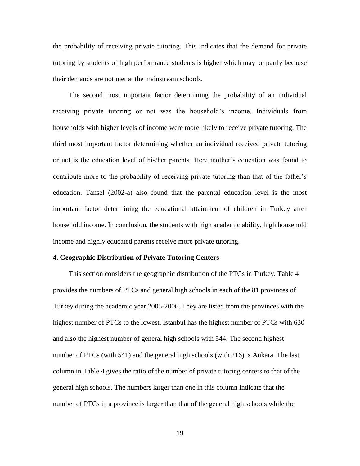the probability of receiving private tutoring. This indicates that the demand for private tutoring by students of high performance students is higher which may be partly because their demands are not met at the mainstream schools.

The second most important factor determining the probability of an individual receiving private tutoring or not was the household's income. Individuals from households with higher levels of income were more likely to receive private tutoring. The third most important factor determining whether an individual received private tutoring or not is the education level of his/her parents. Here mother's education was found to contribute more to the probability of receiving private tutoring than that of the father's education. Tansel (2002-a) also found that the parental education level is the most important factor determining the educational attainment of children in Turkey after household income. In conclusion, the students with high academic ability, high household income and highly educated parents receive more private tutoring.

#### **4. Geographic Distribution of Private Tutoring Centers**

 This section considers the geographic distribution of the PTCs in Turkey. Table 4 provides the numbers of PTCs and general high schools in each of the 81 provinces of Turkey during the academic year 2005-2006. They are listed from the provinces with the highest number of PTCs to the lowest. Istanbul has the highest number of PTCs with 630 and also the highest number of general high schools with 544. The second highest number of PTCs (with 541) and the general high schools (with 216) is Ankara. The last column in Table 4 gives the ratio of the number of private tutoring centers to that of the general high schools. The numbers larger than one in this column indicate that the number of PTCs in a province is larger than that of the general high schools while the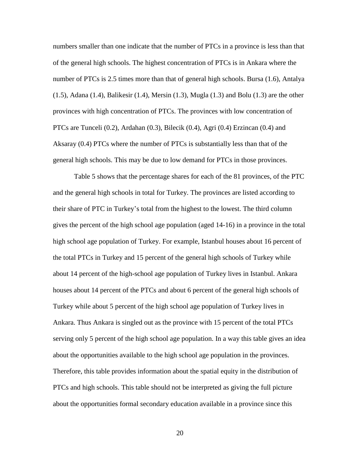numbers smaller than one indicate that the number of PTCs in a province is less than that of the general high schools. The highest concentration of PTCs is in Ankara where the number of PTCs is 2.5 times more than that of general high schools. Bursa (1.6), Antalya (1.5), Adana (1.4), Balikesir (1.4), Mersin (1.3), Mugla (1.3) and Bolu (1.3) are the other provinces with high concentration of PTCs. The provinces with low concentration of PTCs are Tunceli (0.2), Ardahan (0.3), Bilecik (0.4), Agri (0.4) Erzincan (0.4) and Aksaray (0.4) PTCs where the number of PTCs is substantially less than that of the general high schools. This may be due to low demand for PTCs in those provinces.

Table 5 shows that the percentage shares for each of the 81 provinces, of the PTC and the general high schools in total for Turkey. The provinces are listed according to their share of PTC in Turkey's total from the highest to the lowest. The third column gives the percent of the high school age population (aged 14-16) in a province in the total high school age population of Turkey. For example, Istanbul houses about 16 percent of the total PTCs in Turkey and 15 percent of the general high schools of Turkey while about 14 percent of the high-school age population of Turkey lives in Istanbul. Ankara houses about 14 percent of the PTCs and about 6 percent of the general high schools of Turkey while about 5 percent of the high school age population of Turkey lives in Ankara. Thus Ankara is singled out as the province with 15 percent of the total PTCs serving only 5 percent of the high school age population. In a way this table gives an idea about the opportunities available to the high school age population in the provinces. Therefore, this table provides information about the spatial equity in the distribution of PTCs and high schools. This table should not be interpreted as giving the full picture about the opportunities formal secondary education available in a province since this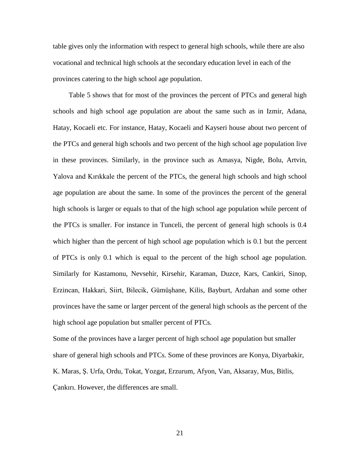table gives only the information with respect to general high schools, while there are also vocational and technical high schools at the secondary education level in each of the provinces catering to the high school age population.

Table 5 shows that for most of the provinces the percent of PTCs and general high schools and high school age population are about the same such as in Izmir, Adana, Hatay, Kocaeli etc. For instance, Hatay, Kocaeli and Kayseri house about two percent of the PTCs and general high schools and two percent of the high school age population live in these provinces. Similarly, in the province such as Amasya, Nigde, Bolu, Artvin, Yalova and Kırıkkale the percent of the PTCs, the general high schools and high school age population are about the same. In some of the provinces the percent of the general high schools is larger or equals to that of the high school age population while percent of the PTCs is smaller. For instance in Tunceli, the percent of general high schools is 0.4 which higher than the percent of high school age population which is 0.1 but the percent of PTCs is only 0.1 which is equal to the percent of the high school age population. Similarly for Kastamonu, Nevsehir, Kirsehir, Karaman, Duzce, Kars, Cankiri, Sinop, Erzincan, Hakkari, Siirt, Bilecik, Gümüşhane, Kilis, Bayburt, Ardahan and some other provinces have the same or larger percent of the general high schools as the percent of the high school age population but smaller percent of PTCs.

Some of the provinces have a larger percent of high school age population but smaller share of general high schools and PTCs. Some of these provinces are Konya, Diyarbakir, K. Maras, Ş. Urfa, Ordu, Tokat, Yozgat, Erzurum, Afyon, Van, Aksaray, Mus, Bitlis, Çankırı. However, the differences are small.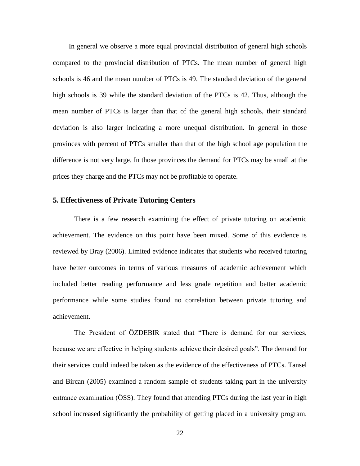In general we observe a more equal provincial distribution of general high schools compared to the provincial distribution of PTCs. The mean number of general high schools is 46 and the mean number of PTCs is 49. The standard deviation of the general high schools is 39 while the standard deviation of the PTCs is 42. Thus, although the mean number of PTCs is larger than that of the general high schools, their standard deviation is also larger indicating a more unequal distribution. In general in those provinces with percent of PTCs smaller than that of the high school age population the difference is not very large. In those provinces the demand for PTCs may be small at the prices they charge and the PTCs may not be profitable to operate.

#### **5. Effectiveness of Private Tutoring Centers**

There is a few research examining the effect of private tutoring on academic achievement. The evidence on this point have been mixed. Some of this evidence is reviewed by Bray (2006). Limited evidence indicates that students who received tutoring have better outcomes in terms of various measures of academic achievement which included better reading performance and less grade repetition and better academic performance while some studies found no correlation between private tutoring and achievement.

The President of ÖZDEBIR stated that "There is demand for our services, because we are effective in helping students achieve their desired goals". The demand for their services could indeed be taken as the evidence of the effectiveness of PTCs. Tansel and Bircan (2005) examined a random sample of students taking part in the university entrance examination (ÖSS). They found that attending PTCs during the last year in high school increased significantly the probability of getting placed in a university program.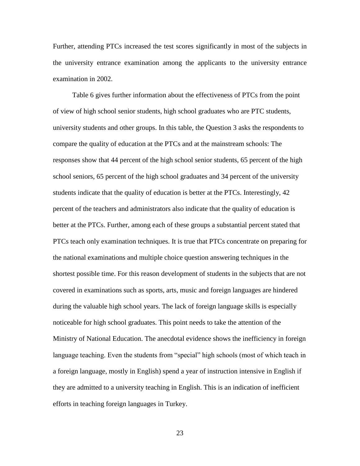Further, attending PTCs increased the test scores significantly in most of the subjects in the university entrance examination among the applicants to the university entrance examination in 2002.

 Table 6 gives further information about the effectiveness of PTCs from the point of view of high school senior students, high school graduates who are PTC students, university students and other groups. In this table, the Question 3 asks the respondents to compare the quality of education at the PTCs and at the mainstream schools: The responses show that 44 percent of the high school senior students, 65 percent of the high school seniors, 65 percent of the high school graduates and 34 percent of the university students indicate that the quality of education is better at the PTCs. Interestingly, 42 percent of the teachers and administrators also indicate that the quality of education is better at the PTCs. Further, among each of these groups a substantial percent stated that PTCs teach only examination techniques. It is true that PTCs concentrate on preparing for the national examinations and multiple choice question answering techniques in the shortest possible time. For this reason development of students in the subjects that are not covered in examinations such as sports, arts, music and foreign languages are hindered during the valuable high school years. The lack of foreign language skills is especially noticeable for high school graduates. This point needs to take the attention of the Ministry of National Education. The anecdotal evidence shows the inefficiency in foreign language teaching. Even the students from "special" high schools (most of which teach in a foreign language, mostly in English) spend a year of instruction intensive in English if they are admitted to a university teaching in English. This is an indication of inefficient efforts in teaching foreign languages in Turkey.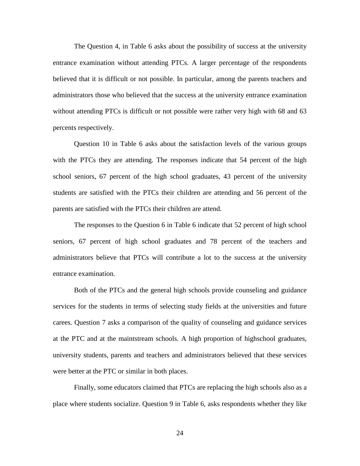The Question 4, in Table 6 asks about the possibility of success at the university entrance examination without attending PTCs. A larger percentage of the respondents believed that it is difficult or not possible. In particular, among the parents teachers and administrators those who believed that the success at the university entrance examination without attending PTCs is difficult or not possible were rather very high with 68 and 63 percents respectively.

Question 10 in Table 6 asks about the satisfaction levels of the various groups with the PTCs they are attending. The responses indicate that 54 percent of the high school seniors, 67 percent of the high school graduates, 43 percent of the university students are satisfied with the PTCs their children are attending and 56 percent of the parents are satisfied with the PTCs their children are attend.

The responses to the Question 6 in Table 6 indicate that 52 percent of high school seniors, 67 percent of high school graduates and 78 percent of the teachers and administrators believe that PTCs will contribute a lot to the success at the university entrance examination.

Both of the PTCs and the general high schools provide counseling and guidance services for the students in terms of selecting study fields at the universities and future carees. Question 7 asks a comparison of the quality of counseling and guidance services at the PTC and at the maintstream schools. A high proportion of highschool graduates, university students, parents and teachers and administrators believed that these services were better at the PTC or similar in both places.

Finally, some educators claimed that PTCs are replacing the high schools also as a place where students socialize. Question 9 in Table 6, asks respondents whether they like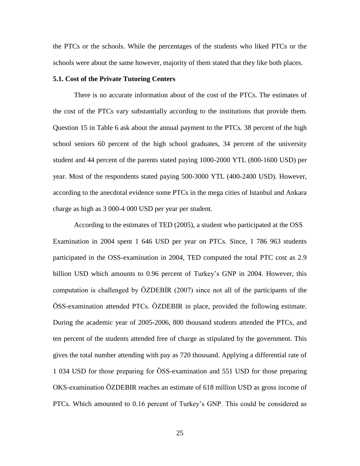the PTCs or the schools. While the percentages of the students who liked PTCs or the schools were about the same however, majority of them stated that they like both places.

#### **5.1. Cost of the Private Tutoring Centers**

There is no accurate information about of the cost of the PTCs. The estimates of the cost of the PTCs vary substantially according to the institutions that provide them. Question 15 in Table 6 ask about the annual payment to the PTCs. 38 percent of the high school seniors 60 percent of the high school graduates, 34 percent of the university student and 44 percent of the parents stated paying 1000-2000 YTL (800-1600 USD) per year. Most of the respondents stated paying 500-3000 YTL (400-2400 USD). However, according to the anecdotal evidence some PTCs in the mega cities of Istanbul and Ankara charge as high as 3 000-4 000 USD per year per student.

According to the estimates of TED (2005), a student who participated at the OSS Examination in 2004 spent 1 646 USD per year on PTCs. Since, 1 786 963 students participated in the OSS-examination in 2004, TED computed the total PTC cost as 2.9 billion USD which amounts to 0.96 percent of Turkey's GNP in 2004. However, this computation is challenged by ÖZDEBİR (2007) since not all of the participants of the ÖSS-examination attended PTCs. ÖZDEBIR in place, provided the following estimate. During the academic year of 2005-2006, 800 thousand students attended the PTCs, and ten percent of the students attended free of charge as stipulated by the government. This gives the total number attending with pay as 720 thousand. Applying a differential rate of 1 034 USD for those preparing for ÖSS-examination and 551 USD for those preparing OKS-examination ÖZDEBIR reaches an estimate of 618 million USD as gross income of PTCs. Which amounted to 0.16 percent of Turkey's GNP. This could be considered as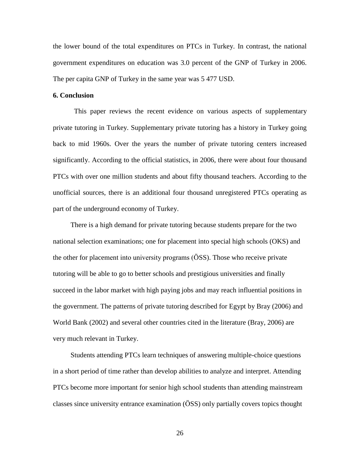the lower bound of the total expenditures on PTCs in Turkey. In contrast, the national government expenditures on education was 3.0 percent of the GNP of Turkey in 2006. The per capita GNP of Turkey in the same year was 5 477 USD.

#### **6. Conclusion**

This paper reviews the recent evidence on various aspects of supplementary private tutoring in Turkey. Supplementary private tutoring has a history in Turkey going back to mid 1960s. Over the years the number of private tutoring centers increased significantly. According to the official statistics, in 2006, there were about four thousand PTCs with over one million students and about fifty thousand teachers. According to the unofficial sources, there is an additional four thousand unregistered PTCs operating as part of the underground economy of Turkey.

 There is a high demand for private tutoring because students prepare for the two national selection examinations; one for placement into special high schools (OKS) and the other for placement into university programs (ÖSS). Those who receive private tutoring will be able to go to better schools and prestigious universities and finally succeed in the labor market with high paying jobs and may reach influential positions in the government. The patterns of private tutoring described for Egypt by Bray (2006) and World Bank (2002) and several other countries cited in the literature (Bray, 2006) are very much relevant in Turkey.

 Students attending PTCs learn techniques of answering multiple-choice questions in a short period of time rather than develop abilities to analyze and interpret. Attending PTCs become more important for senior high school students than attending mainstream classes since university entrance examination (ÖSS) only partially covers topics thought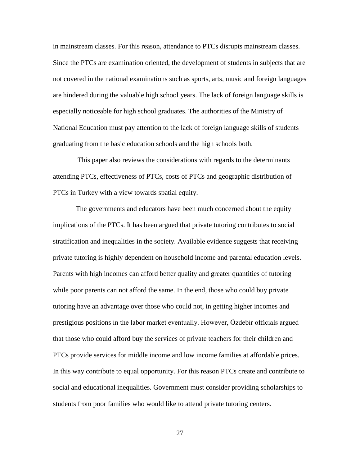in mainstream classes. For this reason, attendance to PTCs disrupts mainstream classes. Since the PTCs are examination oriented, the development of students in subjects that are not covered in the national examinations such as sports, arts, music and foreign languages are hindered during the valuable high school years. The lack of foreign language skills is especially noticeable for high school graduates. The authorities of the Ministry of National Education must pay attention to the lack of foreign language skills of students graduating from the basic education schools and the high schools both.

 This paper also reviews the considerations with regards to the determinants attending PTCs, effectiveness of PTCs, costs of PTCs and geographic distribution of PTCs in Turkey with a view towards spatial equity.

 The governments and educators have been much concerned about the equity implications of the PTCs. It has been argued that private tutoring contributes to social stratification and inequalities in the society. Available evidence suggests that receiving private tutoring is highly dependent on household income and parental education levels. Parents with high incomes can afford better quality and greater quantities of tutoring while poor parents can not afford the same. In the end, those who could buy private tutoring have an advantage over those who could not, in getting higher incomes and prestigious positions in the labor market eventually. However, Özdebir officials argued that those who could afford buy the services of private teachers for their children and PTCs provide services for middle income and low income families at affordable prices. In this way contribute to equal opportunity. For this reason PTCs create and contribute to social and educational inequalities. Government must consider providing scholarships to students from poor families who would like to attend private tutoring centers.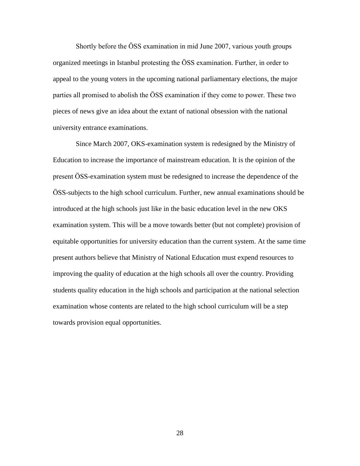Shortly before the ÖSS examination in mid June 2007, various youth groups organized meetings in Istanbul protesting the ÖSS examination. Further, in order to appeal to the young voters in the upcoming national parliamentary elections, the major parties all promised to abolish the ÖSS examination if they come to power. These two pieces of news give an idea about the extant of national obsession with the national university entrance examinations.

 Since March 2007, OKS-examination system is redesigned by the Ministry of Education to increase the importance of mainstream education. It is the opinion of the present ÖSS-examination system must be redesigned to increase the dependence of the ÖSS-subjects to the high school curriculum. Further, new annual examinations should be introduced at the high schools just like in the basic education level in the new OKS examination system. This will be a move towards better (but not complete) provision of equitable opportunities for university education than the current system. At the same time present authors believe that Ministry of National Education must expend resources to improving the quality of education at the high schools all over the country. Providing students quality education in the high schools and participation at the national selection examination whose contents are related to the high school curriculum will be a step towards provision equal opportunities.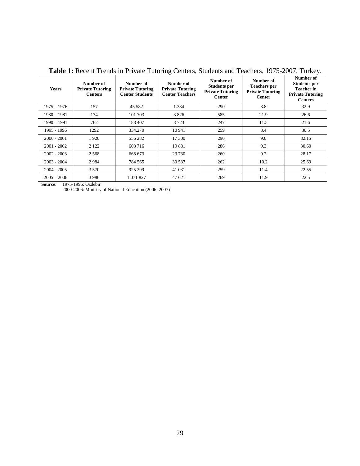| <b>Years</b>  | Number of<br><b>Private Tutoring</b><br><b>Centers</b> | Number of<br><b>Private Tutoring</b><br><b>Center Students</b> | Number of<br><b>Private Tutoring</b><br><b>Center Teachers</b> | Number of<br><b>Students per</b><br><b>Private Tutoring</b><br><b>Center</b> | Number of<br><b>Teachers</b> per<br><b>Private Tutoring</b><br><b>Center</b> | Number of<br><b>Students per</b><br><b>Teacher in</b><br><b>Private Tutoring</b><br><b>Centers</b> |
|---------------|--------------------------------------------------------|----------------------------------------------------------------|----------------------------------------------------------------|------------------------------------------------------------------------------|------------------------------------------------------------------------------|----------------------------------------------------------------------------------------------------|
| 1975 – 1976   | 157                                                    | 45 5 82                                                        | 1.384                                                          | 290                                                                          | 8.8                                                                          | 32.9                                                                                               |
| $1980 - 1981$ | 174                                                    | 101 703                                                        | 3826                                                           | 585                                                                          | 21.9                                                                         | 26.6                                                                                               |
| $1990 - 1991$ | 762                                                    | 188 407                                                        | 8723                                                           | 247                                                                          | 11.5                                                                         | 21.6                                                                                               |
| 1995 - 1996   | 1292                                                   | 334.270                                                        | 10 941                                                         | 259                                                                          | 8.4                                                                          | 30.5                                                                                               |
| $2000 - 2001$ | 1920                                                   | 556 282                                                        | 17 300                                                         | 290                                                                          | 9.0                                                                          | 32.15                                                                                              |
| $2001 - 2002$ | 2 1 2 2                                                | 608 716                                                        | 19881                                                          | 286                                                                          | 9.3                                                                          | 30.60                                                                                              |
| $2002 - 2003$ | 2568                                                   | 668 673                                                        | 23 730                                                         | 260                                                                          | 9.2                                                                          | 28.17                                                                                              |
| $2003 - 2004$ | 2984                                                   | 784 565                                                        | 30 537                                                         | 262                                                                          | 10.2                                                                         | 25.69                                                                                              |
| $2004 - 2005$ | 3 5 7 0                                                | 925 299                                                        | 41 031                                                         | 259                                                                          | 11.4                                                                         | 22.55                                                                                              |
| $2005 - 2006$ | 3986                                                   | 1 071 827                                                      | 47 621                                                         | 269                                                                          | 11.9                                                                         | 22.5                                                                                               |

**Table 1:** Recent Trends in Private Tutoring Centers, Students and Teachers, 1975-2007, Turkey.

**Source:** 1975-1996: Ozdebir

2000-2006: Ministry of National Education (2006; 2007)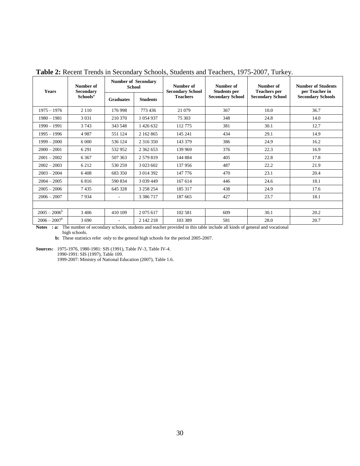| <b>Years</b>    | Number of<br>Secondary | <b>Number of Secondary</b><br><b>School</b> |                 | Number of<br><b>Secondary School</b> | Number of<br><b>Students per</b> | Number of<br><b>Teachers</b> per | <b>Number of Students</b><br>per Teacher in |  |
|-----------------|------------------------|---------------------------------------------|-----------------|--------------------------------------|----------------------------------|----------------------------------|---------------------------------------------|--|
|                 | Schools <sup>a</sup>   | <b>Graduates</b>                            | <b>Students</b> | <b>Teachers</b>                      | <b>Secondary School</b>          | <b>Secondary School</b>          | <b>Secondary Schools</b>                    |  |
| $1975 - 1976$   | 2 1 1 0                | 176 998                                     | 773 436         | 21 079                               | 367                              | 10.0                             | 36.7                                        |  |
| $1980 - 1981$   | 3 0 3 1                | 210 370                                     | 1 054 937       | 75 303                               | 348                              | 24.8                             | 14.0                                        |  |
| $1990 - 1991$   | 3743                   | 343 548                                     | 1426 632        | 112 775                              | 381                              | 30.1                             | 12.7                                        |  |
| $1995 - 1996$   | 4987                   | 551 124                                     | 2 162 865       | 145 241                              | 434                              | 29.1                             | 14.9                                        |  |
| $1999 - 2000$   | 6.000                  | 536 124                                     | 2 3 1 6 3 5 0   | 143 379                              | 386                              | 24.9                             | 16.2                                        |  |
| $2000 - 2001$   | 6 2 9 1                | 532952                                      | 2 3 6 2 6 5 3   | 139 969                              | 376                              | 22.3                             | 16.9                                        |  |
| $2001 - 2002$   | 6 3 6 7                | 507 363                                     | 2 579 819       | 144 884                              | 405                              | 22.8                             | 17.8                                        |  |
| $2002 - 2003$   | 6 2 1 2                | 530 259                                     | 3 023 602       | 137 956                              | 487                              | 22.2                             | 21.9                                        |  |
| $2003 - 2004$   | 6408                   | 683 350                                     | 3 0 14 3 9 2    | 147 776                              | 470                              | 23.1                             | 20.4                                        |  |
| $2004 - 2005$   | 6816                   | 590 834                                     | 3 0 3 9 4 4 9   | 167 614                              | 446                              | 24.6                             | 18.1                                        |  |
| $2005 - 2006$   | 7435                   | 645 328                                     | 3 258 254       | 185 317                              | 438                              | 24.9                             | 17.6                                        |  |
| $2006 - 2007$   | 7934                   | ٠                                           | 3 3 8 6 7 1 7   | 187 665                              | 427                              | 23.7                             | 18.1                                        |  |
|                 |                        |                                             |                 |                                      |                                  |                                  |                                             |  |
| $2005 - 2006^b$ | 3 4 0 6                | 410 109                                     | 2075 617        | 102 581                              | 609                              | 30.1                             | 20.2                                        |  |
| $2006 - 2007^b$ | 3 6 9 0                |                                             | 2 142 218       | 103 389                              | 581                              | 28.0                             | 20.7                                        |  |

**Table 2:** Recent Trends in Secondary Schools, Students and Teachers, 1975-2007, Turkey.

**Notes : a:** The number of secondary schools, students and teacher provided in this table include all kinds of general and vocational high schools.

**b:** These statistics refer only to the general high schools for the period 2005-2007.

**Sources:** 1975-1976, 1980-1981: SIS (1991), Table IV-3, Table IV-4.

1990-1991: SIS (1997), Table 109.

1999-2007: Ministry of National Education (2007), Table 1.6.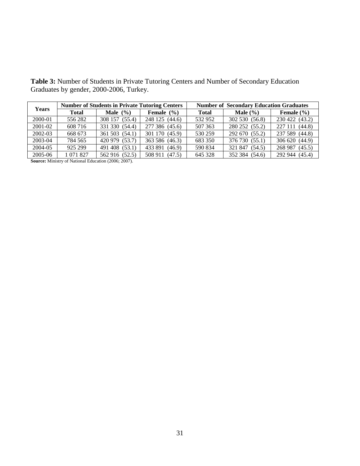**Table 3:** Number of Students in Private Tutoring Centers and Number of Secondary Education Graduates by gender, 2000-2006, Turkey.

| <b>Years</b> |              | <b>Number of Students in Private Tutoring Centers</b> |                   | <b>Number of Secondary Education Graduates</b> |                     |                |  |  |
|--------------|--------------|-------------------------------------------------------|-------------------|------------------------------------------------|---------------------|----------------|--|--|
|              | <b>Total</b> | <b>Male</b> $(\% )$                                   | Female $(\% )$    | <b>Total</b>                                   | <b>Male</b> $(\% )$ | Female $(\% )$ |  |  |
| $2000 - 01$  | 556 282      | 308 157 (55.4)                                        | 248 125 (44.6)    | 532 952                                        | 302 530 (56.8)      | 230 422 (43.2) |  |  |
| 2001-02      | 608 716      | 331 330 (54.4)                                        | 277 386 (45.6)    | 507 363                                        | 280 252 (55.2)      | 227 111 (44.8) |  |  |
| 2002-03      | 668 673      | 361 503 (54.1)                                        | 301 170 (45.9)    | 530 259                                        | 292 670 (55.2)      | 237 589 (44.8) |  |  |
| 2003-04      | 784 565      | 420 979 (53.7)                                        | 363 586 (46.3)    | 683 350                                        | 376 730 (55.1)      | 306 620 (44.9) |  |  |
| 2004-05      | 925 299      | 491 408 (53.1)                                        | 433 891<br>(46.9) | 590 834                                        | 321 847 (54.5)      | 268 987 (45.5) |  |  |
| 2005-06      | 1 071 827    | 562 916 (52.5)                                        | 508 911 (47.5)    | 645 328                                        | 352 384 (54.6)      | 292 944 (45.4) |  |  |

**Source:** Ministry of National Education (2006; 2007).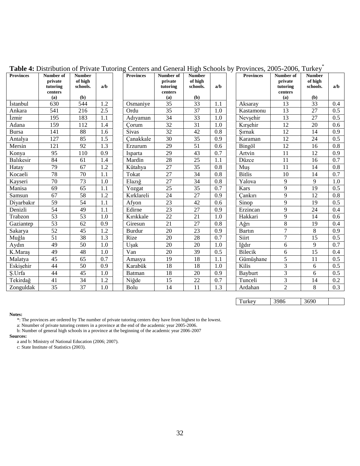| <b>Provinces</b> | Number of<br>private | <b>Number</b><br>of high |                  | <b>Provinces</b> | Number of<br>private | <b>Number</b><br>of high |     | <b>Provinces</b> | Number of<br>private | <b>Number</b><br>of high |     |
|------------------|----------------------|--------------------------|------------------|------------------|----------------------|--------------------------|-----|------------------|----------------------|--------------------------|-----|
|                  | tutoring             | schools.                 | a/b              |                  | tutoring             | schools.                 | a/b |                  | tutoring             | schools.                 | a/b |
|                  | centers              |                          |                  |                  | centers              |                          |     |                  | centers              |                          |     |
|                  | (a)                  | (b)                      |                  |                  | (a)                  | (b)                      |     |                  | (a)                  | (b)                      |     |
| <i>Istanbul</i>  | 630                  | 544                      | 1.2              | Osmaniye         | 35                   | 33                       | 1.1 | Aksaray          | 13                   | 33                       | 0.4 |
| Ankara           | 541                  | 216                      | $\overline{2.5}$ | Ordu             | $\overline{35}$      | 37                       | 1.0 | Kastamonu        | 13                   | 27                       | 0.5 |
| İzmir            | 195                  | 183                      | 1.1              | Adıyaman         | 34                   | 33                       | 1.0 | Nevsehir         | 13                   | 27                       | 0.5 |
| Adana            | 159                  | 112                      | 1.4              | Corum            | 32                   | 31                       | 1.0 | Kırşehir         | 12                   | 20                       | 0.6 |
| <b>Bursa</b>     | 141                  | 88                       | 1.6              | <b>Sivas</b>     | 32                   | 42                       | 0.8 | Sırnak           | 12                   | 14                       | 0.9 |
| Antalya          | 127                  | 85                       | 1.5              | Canakkale        | 30                   | 35                       | 0.9 | Karaman          | 12                   | 24                       | 0.5 |
| Mersin           | 121                  | 92                       | 1.3              | Erzurum          | 29                   | 51                       | 0.6 | Bingöl           | 12                   | 16                       | 0.8 |
| Konya            | 95                   | 110                      | 0.9              | Isparta          | 29                   | 43                       | 0.7 | Artvin           | 11                   | 12                       | 0.9 |
| <b>Balıkesir</b> | 84                   | 61                       | 1.4              | Mardin           | 28                   | 25                       | 1.1 | Düzce            | 11                   | 16                       | 0.7 |
| Hatay            | 79                   | 67                       | 1.2              | Kütahya          | 27                   | 35                       | 0.8 | Mus              | 11                   | 14                       | 0.8 |
| Kocaeli          | 78                   | 70                       | 1.1              | Tokat            | 27                   | 34                       | 0.8 | <b>Bitlis</b>    | 10                   | 14                       | 0.7 |
| Kayseri          | 70                   | 73                       | 1.0              | Elazığ           | 27                   | 34                       | 0.8 | Yalova           | 9                    | 9                        | 1.0 |
| Manisa           | 69                   | $\overline{65}$          | 1.1              | Yozgat           | $\overline{25}$      | 35                       | 0.7 | Kars             | 9                    | 19                       | 0.5 |
| Samsun           | 67                   | 58                       | 1.2              | Kırklareli       | 24                   | 27                       | 0.9 | Cankırı          | 9                    | 12                       | 0.8 |
| Diyarbakır       | 59                   | 54                       | 1.1              | Afyon            | 23                   | 42                       | 0.6 | Sinop            | 9                    | 19                       | 0.5 |
| Denizli          | 54                   | 49                       | 1.1              | Edirne           | 23                   | 27                       | 0.9 | Erzincan         | 9                    | 24                       | 0.4 |
| Trabzon          | 53                   | 53                       | 1.0              | Kırıkkale        | 22                   | 21                       | 1.0 | Hakkari          | 9                    | 14                       | 0.6 |
| Gaziantep        | 53                   | 62                       | 0.9              | Giresun          | 21                   | 27                       | 0.8 | Ağrı             | 8                    | 19                       | 0.4 |
| Sakarya          | $\overline{52}$      | 45                       | 1.2              | Burdur           | 20                   | 23                       | 0.9 | Bartin           | $\overline{7}$       | 8                        | 0.9 |
| Muğla            | 51                   | 38                       | 1.3              | Rize             | 20                   | 28                       | 0.7 | Siirt            | 7                    | 15                       | 0.5 |
| Aydın            | 49                   | 50                       | 1.0              | Usak             | 20                   | 20                       | 1.0 | Iğdır            | 6                    | 9                        | 0.7 |
| K.Maraş          | 49                   | 48                       | 1.0              | Van              | 20                   | 39                       | 0.5 | <b>Bilecik</b>   | 6                    | 15                       | 0.4 |
| Malatya          | 45                   | 65                       | 0.7              | Amasya           | 19                   | 18                       | 1.1 | Gümüşhane        | 5                    | 11                       | 0.5 |
| Eskişehir        | 44                   | 50                       | 0.9              | Karabük          | 18                   | 18                       | 1.0 | Kilis            | 3                    | 6                        | 0.5 |
| S.Urfa           | 44                   | 45                       | 1.0              | <b>Batman</b>    | 18                   | 20                       | 0.9 | <b>Bayburt</b>   | 3                    | 6                        | 0.5 |
| Tekirdağ         | 41                   | 34                       | 1.2              | Niğde            | 15                   | 22                       | 0.7 | Tunceli          | 3                    | 14                       | 0.2 |
| Zonguldak        | 35                   | 37                       | 1.0              | Bolu             | 14                   | 11                       | 1.3 | Ardahan          | $\overline{2}$       | 8                        | 0.3 |

**Table 4:** Distribution of Private Tutoring Centers and General High Schools by Provinces, 2005-2006, Turkey\*

Turkey 3986 3690

#### **Notes:**

\*: The provinces are ordered by The number of private tutoring centers they have from highest to the lowest.

a: Nnumber of private tutoring centers in a province at the end of the academic year 2005-2006.

b: Number of general high schools in a province at the beginning of the academic year 2006-2007

#### **Sources:**

a and b: Ministry of National Education (2006; 2007).

c: State Institute of Statistics (2003).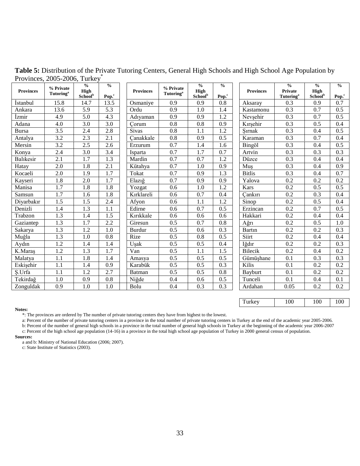| <b>Provinces</b> | % Private<br><b>Tutoring</b> <sup>a</sup> | $\frac{0}{0}$<br>High<br>School <sup>b</sup> | $\frac{0}{0}$             | <b>Provinces</b> | % Private<br><b>Tutoring</b> <sup>a</sup> | $\frac{0}{0}$<br>High      | $\frac{0}{0}$            | <b>Provinces</b> | $\frac{0}{0}$<br><b>Private</b>     | $\frac{0}{0}$<br><b>High</b> | $\frac{0}{0}$   |
|------------------|-------------------------------------------|----------------------------------------------|---------------------------|------------------|-------------------------------------------|----------------------------|--------------------------|------------------|-------------------------------------|------------------------------|-----------------|
| <b>Istanbul</b>  | 15.8                                      | 14.7                                         | Pop. <sup>c</sup><br>13.5 | Osmaniye         | 0.9                                       | School <sup>b</sup><br>0.9 | Pop. <sup>c</sup><br>0.8 | Aksaray          | <b>Tutoring</b> <sup>a</sup><br>0.3 | School <sup>b</sup><br>0.9   | $Pop.^c$<br>0.7 |
| Ankara           | 13.6                                      | 5.9                                          | 5.3                       | Ordu             | 0.9                                       | 1.0                        | 1.4                      | Kastamonu        | 0.3                                 | 0.7                          | 0.5             |
| İzmir            | 4.9                                       | 5.0                                          | 4.3                       | Adıyaman         | 0.9                                       | 0.9                        | 1.2                      | Nevşehir         | 0.3                                 | 0.7                          | 0.5             |
| Adana            | 4.0                                       | 3.0                                          | 3.0                       | Corum            | 0.8                                       | 0.8                        | 0.9                      | Kırşehir         | 0.3                                 | 0.5                          | 0.4             |
| <b>Bursa</b>     | 3.5                                       | 2.4                                          | 2.8                       | <b>Sivas</b>     | 0.8                                       | 1.1                        | 1.2                      | Sırnak           | 0.3                                 | 0.4                          | 0.5             |
| Antalya          | 3.2                                       | 2.3                                          | 2.1                       | Canakkale        | 0.8                                       | 0.9                        | 0.5                      | Karaman          | 0.3                                 | 0.7                          | 0.4             |
| Mersin           | 3.2                                       | 2.5                                          | 2.6                       | Erzurum          | 0.7                                       | 1.4                        | 1.6                      | Bingöl           | 0.3                                 | 0.4                          | 0.5             |
| Konya            | 2.4                                       | 3.0                                          | 3.4                       | Isparta          | 0.7                                       | 1.7                        | 0.7                      | Artvin           | 0.3                                 | 0.3                          | 0.3             |
| Balıkesir        | 2.1                                       | 1.7                                          | 1.3                       | Mardin           | 0.7                                       | 0.7                        | 1.2                      | Düzce            | 0.3                                 | 0.4                          | 0.4             |
| Hatay            | 2.0                                       | 1.8                                          | 2.1                       | Kütahya          | 0.7                                       | 1.0                        | 0.9                      | Muş              | 0.3                                 | 0.4                          | 0.9             |
| Kocaeli          | 2.0                                       | 1.9                                          | 1.7                       | Tokat            | 0.7                                       | 0.9                        | 1.3                      | <b>Bitlis</b>    | 0.3                                 | 0.4                          | 0.7             |
| Kayseri          | 1.8                                       | 2.0                                          | 1.7                       | Elazığ           | 0.7                                       | 0.9                        | 0.9                      | Yalova           | 0.2                                 | 0.2                          | 0.2             |
| Manisa           | 1.7                                       | 1.8                                          | 1.8                       | Yozgat           | 0.6                                       | 1.0                        | 1.2                      | Kars             | 0.2                                 | 0.5                          | 0.5             |
| Samsun           | 1.7                                       | 1.6                                          | 1.8                       | Kırklareli       | 0.6                                       | 0.7                        | 0.4                      | Cankırı          | 0.2                                 | 0.3                          | 0.4             |
| Divarbakır       | 1.5                                       | 1.5                                          | 2.4                       | Afyon            | 0.6                                       | 1.1                        | 1.2                      | Sinop            | 0.2                                 | 0.5                          | 0.4             |
| Denizli          | 1.4                                       | 1.3                                          | 1.1                       | Edirne           | 0.6                                       | 0.7                        | 0.5                      | Erzincan         | 0.2                                 | 0.7                          | 0.5             |
| Trabzon          | 1.3                                       | 1.4                                          | 1.5                       | Kırıkkale        | 0.6                                       | 0.6                        | 0.6                      | Hakkari          | 0.2                                 | 0.4                          | 0.4             |
| Gaziantep        | 1.3                                       | 1.7                                          | 2.2                       | Giresun          | 0.5                                       | 0.7                        | 0.8                      | Ağrı             | 0.2                                 | 0.5                          | 1.0             |
| Sakarya          | 1.3                                       | 1.2                                          | 1.0                       | <b>Burdur</b>    | 0.5                                       | 0.6                        | 0.3                      | Bartin           | 0.2                                 | 0.2                          | 0.3             |
| Muğla            | 1.3                                       | 1.0                                          | 0.8                       | Rize             | 0.5                                       | 0.8                        | 0.5                      | Siirt            | 0.2                                 | 0.4                          | 0.4             |
| Aydın            | 1.2                                       | 1.4                                          | 1.4                       | Uşak             | 0.5                                       | 0.5                        | 0.4                      | Iğdır            | 0.2                                 | 0.2                          | 0.3             |
| K.Maraş          | 1.2                                       | 1.3                                          | 1.7                       | Van              | 0.5                                       | 1.1                        | 1.5                      | Bilecik          | 0.2                                 | 0.4                          | 0.2             |
| Malatya          | 1.1                                       | 1.8                                          | 1.4                       | Amasya           | 0.5                                       | 0.5                        | 0.5                      | Gümüşhane        | 0.1                                 | 0.3                          | 0.3             |
| Eskisehir        | 1.1                                       | 1.4                                          | 0.9                       | Karabük          | 0.5                                       | 0.5                        | 0.3                      | Kilis            | 0.1                                 | 0.2                          | 0.2             |
| S.Urfa           | 1.1                                       | 1.2                                          | 2.7                       | <b>Batman</b>    | 0.5                                       | 0.5                        | 0.8                      | <b>Bayburt</b>   | 0.1                                 | 0.2                          | 0.2             |
| Tekirdağ         | 1.0                                       | 0.9                                          | 0.8                       | Niğde            | 0.4                                       | 0.6                        | 0.5                      | Tunceli          | 0.1                                 | 0.4                          | 0.1             |
| Zonguldak        | 0.9                                       | 1.0                                          | 1.0                       | Bolu             | 0.4                                       | 0.3                        | 0.3                      | Ardahan          | 0.05                                | 0.2                          | 0.2             |

**Table 5:** Distribution of the Private Tutoring Centers, General High Schools and High School Age Population by Provinces, 2005-2006, Turkey<sup>\*</sup>

Turkey 100 100 100

#### **Notes:**

\*: The provinces are ordered by The number of private tutoring centers they have from highest to the lowest.

a: Percent of the number of private tutoring centers in a province in the total number of private tutoring centers in Turkey at the end of the academic year 2005-2006. b: Percent of the number of general high schools in a province in the total number of general high schools in Turkey at the beginning of the academic year 2006-2007 c: Percent of the high school age population (14-16) in a province in the total high school age population of Turkey in 2000 general census of population.

#### **Sources:**

a and b: Ministry of National Education (2006; 2007).

c: State Institute of Statistics (2003).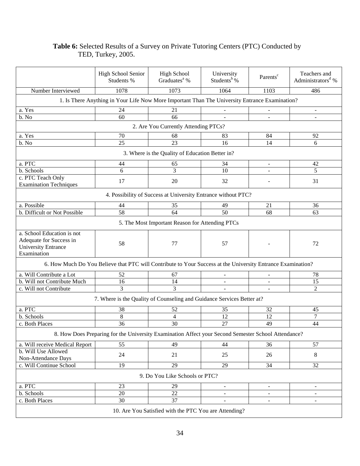## **Table 6:** Selected Results of a Survey on Private Tutoring Centers (PTC) Conducted by TED, Turkey, 2005.

|                                                                                                    | <b>High School Senior</b><br>Students %                                                                     | <b>High School</b><br>Graduates <sup>a</sup> %                | University<br>Students <sup>b</sup> % | Parents <sup>c</sup>         | Teachers and<br>Administrators <sup>d</sup> % |  |  |  |  |  |
|----------------------------------------------------------------------------------------------------|-------------------------------------------------------------------------------------------------------------|---------------------------------------------------------------|---------------------------------------|------------------------------|-----------------------------------------------|--|--|--|--|--|
| Number Interviewed                                                                                 | 1078                                                                                                        | 1073                                                          | 1064                                  | 1103                         | 486                                           |  |  |  |  |  |
| 1. Is There Anything in Your Life Now More Important Than The University Entrance Examination?     |                                                                                                             |                                                               |                                       |                              |                                               |  |  |  |  |  |
| a. Yes                                                                                             | 24                                                                                                          | 21                                                            |                                       |                              | $\overline{\phantom{a}}$                      |  |  |  |  |  |
| b. No                                                                                              | 60                                                                                                          | 66                                                            |                                       |                              | $\blacksquare$                                |  |  |  |  |  |
| 2. Are You Currently Attending PTCs?                                                               |                                                                                                             |                                                               |                                       |                              |                                               |  |  |  |  |  |
| a. Yes                                                                                             | 70                                                                                                          | 68                                                            | 83                                    | 84                           | 92                                            |  |  |  |  |  |
| b. No                                                                                              | 25                                                                                                          | 23                                                            | 16                                    | 14                           | 6                                             |  |  |  |  |  |
|                                                                                                    |                                                                                                             | 3. Where is the Quality of Education Better in?               |                                       |                              |                                               |  |  |  |  |  |
| a. PTC                                                                                             | 44                                                                                                          | 65                                                            | 34                                    | $\qquad \qquad \blacksquare$ | 42                                            |  |  |  |  |  |
| b. Schools                                                                                         | 6                                                                                                           | 3                                                             | 10                                    |                              | 5                                             |  |  |  |  |  |
| c. PTC Teach Only                                                                                  | 17                                                                                                          | 20                                                            | 32                                    |                              | 31                                            |  |  |  |  |  |
| <b>Examination Techniques</b>                                                                      |                                                                                                             |                                                               |                                       |                              |                                               |  |  |  |  |  |
|                                                                                                    |                                                                                                             | 4. Possibility of Success at University Entrance without PTC? |                                       |                              |                                               |  |  |  |  |  |
| a. Possible                                                                                        | 44                                                                                                          | 35                                                            | 49                                    | 21                           | 36                                            |  |  |  |  |  |
| b. Difficult or Not Possible                                                                       | 58                                                                                                          | 64                                                            | 50                                    | 68                           | 63                                            |  |  |  |  |  |
|                                                                                                    |                                                                                                             | 5. The Most Important Reason for Attending PTCs               |                                       |                              |                                               |  |  |  |  |  |
| a. School Education is not<br>Adequate for Success in<br><b>University Entrance</b><br>Examination | 58                                                                                                          | 77                                                            | 57                                    |                              | 72                                            |  |  |  |  |  |
|                                                                                                    | 6. How Much Do You Believe that PTC will Contribute to Your Success at the University Entrance Examination? |                                                               |                                       |                              |                                               |  |  |  |  |  |
| a. Will Contribute a Lot                                                                           | 52                                                                                                          | 67                                                            | $\overline{\phantom{a}}$              |                              | 78                                            |  |  |  |  |  |
| b. Will not Contribute Much                                                                        | 16                                                                                                          | 14                                                            |                                       |                              | 15                                            |  |  |  |  |  |
| c. Will not Contribute                                                                             | 3                                                                                                           | 3                                                             |                                       |                              | $\overline{2}$                                |  |  |  |  |  |
|                                                                                                    | 7. Where is the Quality of Counseling and Guidance Services Better at?                                      |                                                               |                                       |                              |                                               |  |  |  |  |  |
| a. PTC                                                                                             | 38                                                                                                          | 52                                                            | 35                                    | 32                           | 45                                            |  |  |  |  |  |
| b. Schools                                                                                         | $\,8\,$                                                                                                     | $\overline{4}$                                                | 12                                    | 12                           | $\tau$                                        |  |  |  |  |  |
| c. Both Places                                                                                     | 36                                                                                                          | 30                                                            | 27                                    | 49                           | 44                                            |  |  |  |  |  |
|                                                                                                    | 8. How Does Preparing for the University Examination Affect your Second Semester School Attendance?         |                                                               |                                       |                              |                                               |  |  |  |  |  |
| a. Will receive Medical Report                                                                     | 55                                                                                                          | 49                                                            | 44                                    | 36                           | 57                                            |  |  |  |  |  |
| b. Will Use Allowed<br>Non-Attendance Days                                                         | 24                                                                                                          | 21                                                            | 25                                    | 26                           | 8                                             |  |  |  |  |  |
| c. Will Continue School                                                                            | 19                                                                                                          | 29                                                            | 29                                    | 34                           | 32                                            |  |  |  |  |  |
|                                                                                                    | 9. Do You Like Schools or PTC?                                                                              |                                                               |                                       |                              |                                               |  |  |  |  |  |
| a. PTC                                                                                             | 23                                                                                                          | 29                                                            | $\blacksquare$                        | $\blacksquare$               | $\blacksquare$                                |  |  |  |  |  |
| b. Schools                                                                                         | 20                                                                                                          | $22\,$                                                        |                                       | $\overline{\phantom{a}}$     | $\blacksquare$                                |  |  |  |  |  |
| c. Both Places                                                                                     | 30                                                                                                          | 37                                                            | $\overline{\phantom{a}}$              | $\overline{\phantom{a}}$     | $\blacksquare$                                |  |  |  |  |  |
|                                                                                                    |                                                                                                             | 10. Are You Satisfied with the PTC You are Attending?         |                                       |                              |                                               |  |  |  |  |  |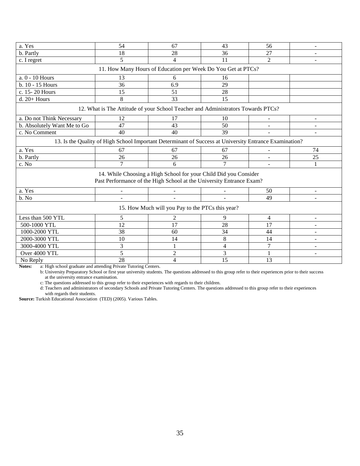| a. Yes                                                                                                 | 54                                                                               | 67                                                               | 43     | 56             |    |  |  |  |  |  |
|--------------------------------------------------------------------------------------------------------|----------------------------------------------------------------------------------|------------------------------------------------------------------|--------|----------------|----|--|--|--|--|--|
| b. Partly                                                                                              | 18                                                                               | 28                                                               | 36     | 27             |    |  |  |  |  |  |
| c. I regret                                                                                            | $\overline{5}$                                                                   | $\overline{4}$                                                   | 11     | $\overline{2}$ |    |  |  |  |  |  |
| 11. How Many Hours of Education per Week Do You Get at PTCs?                                           |                                                                                  |                                                                  |        |                |    |  |  |  |  |  |
|                                                                                                        |                                                                                  |                                                                  |        |                |    |  |  |  |  |  |
| a. 0 - 10 Hours                                                                                        | 13                                                                               | 6                                                                | 16     |                |    |  |  |  |  |  |
| b. 10 - 15 Hours                                                                                       | 36                                                                               | 6.9                                                              | 29     |                |    |  |  |  |  |  |
| c. 15-20 Hours                                                                                         | 15                                                                               | 51                                                               | 28     |                |    |  |  |  |  |  |
| $d. 20+$ Hours                                                                                         | 8                                                                                | 33                                                               | 15     |                |    |  |  |  |  |  |
|                                                                                                        | 12. What is The Attitude of your School Teacher and Administrators Towards PTCs? |                                                                  |        |                |    |  |  |  |  |  |
| a. Do not Think Necessary                                                                              | 12                                                                               | 17                                                               | 10     |                |    |  |  |  |  |  |
| b. Absolutely Want Me to Go                                                                            | 47                                                                               | 43                                                               | 50     |                |    |  |  |  |  |  |
| c. No Comment                                                                                          | 40                                                                               | 40                                                               | 39     |                |    |  |  |  |  |  |
| 13. Is the Quality of High School Important Determinant of Success at University Entrance Examination? |                                                                                  |                                                                  |        |                |    |  |  |  |  |  |
| a. Yes                                                                                                 | 67                                                                               | 67                                                               | 67     | $\blacksquare$ | 74 |  |  |  |  |  |
| b. Partly                                                                                              | 26                                                                               | 26                                                               | 26     |                | 25 |  |  |  |  |  |
| c. No                                                                                                  | 7                                                                                | 6                                                                | 7      |                |    |  |  |  |  |  |
|                                                                                                        |                                                                                  | 14. While Choosing a High School for your Child Did you Consider |        |                |    |  |  |  |  |  |
|                                                                                                        | Past Performance of the High School at the University Entrance Exam?             |                                                                  |        |                |    |  |  |  |  |  |
| a. Yes                                                                                                 | $\overline{a}$                                                                   | $\overline{a}$                                                   |        | 50             |    |  |  |  |  |  |
| b. No                                                                                                  | ÷                                                                                | $\overline{\phantom{a}}$                                         | $\sim$ | 49             |    |  |  |  |  |  |
| 15. How Much will you Pay to the PTCs this year?                                                       |                                                                                  |                                                                  |        |                |    |  |  |  |  |  |
| Less than 500 YTL                                                                                      | 5                                                                                | 2                                                                | 9      | 4              |    |  |  |  |  |  |
| 500-1000 YTL                                                                                           | 12                                                                               | 17                                                               | 28     | 17             |    |  |  |  |  |  |
| 1000-2000 YTL                                                                                          | 38                                                                               | 60                                                               | 34     | 44             |    |  |  |  |  |  |
| 2000-3000 YTL                                                                                          | 10                                                                               | 14                                                               | $8\,$  | 14             |    |  |  |  |  |  |
| 3000-4000 YTL                                                                                          | 3                                                                                | $\mathbf{1}$                                                     | 4      | 7              |    |  |  |  |  |  |
| Over 4000 YTL                                                                                          | 5                                                                                | $\overline{2}$                                                   | 3      |                |    |  |  |  |  |  |
| No Reply                                                                                               | 28                                                                               | $\overline{4}$                                                   | 15     | 13             |    |  |  |  |  |  |

**Notes:** a: High school graduate and attending Private Tutoring Centers.

b: University Preparatory School or first year university students. The questions addressed to this group refer to their experiences prior to their success at the university entrance examination.

c: The questions addressed to this group refer to their experiences with regards to their children.

d: Teachers and administrators of secondary Schools and Private Tutoring Centers. The questions addressed to this group refer to their experiences

 with regards their students. **Source:** Turkish Educational Association (TED) (2005). Various Tables.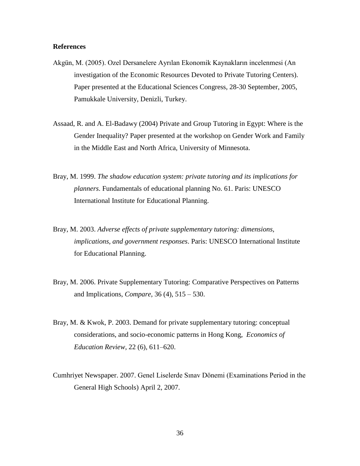#### **References**

- Akgün, M. (2005). Ozel Dersanelere Ayrılan Ekonomik Kaynakların incelenmesi (An investigation of the Economic Resources Devoted to Private Tutoring Centers). Paper presented at the Educational Sciences Congress, 28-30 September, 2005, Pamukkale University, Denizli, Turkey.
- Assaad, R. and A. El-Badawy (2004) Private and Group Tutoring in Egypt: Where is the Gender Inequality? Paper presented at the workshop on Gender Work and Family in the Middle East and North Africa, University of Minnesota.
- Bray, M. 1999. *The shadow education system: private tutoring and its implications for planners*. Fundamentals of educational planning No. 61. Paris: UNESCO International Institute for Educational Planning.
- Bray, M. 2003. *Adverse effects of private supplementary tutoring: dimensions, implications, and government responses*. Paris: UNESCO International Institute for Educational Planning.
- Bray, M. 2006. Private Supplementary Tutoring: Comparative Perspectives on Patterns and Implications, *Compare*, 36 (4), 515 – 530.
- Bray, M. & Kwok, P. 2003. Demand for private supplementary tutoring: conceptual considerations, and socio-economic patterns in Hong Kong, *Economics of Education Review*, 22 (6), 611–620.
- Cumhriyet Newspaper. 2007. Genel Liselerde Sınav Dönemi (Examinations Period in the General High Schools) April 2, 2007.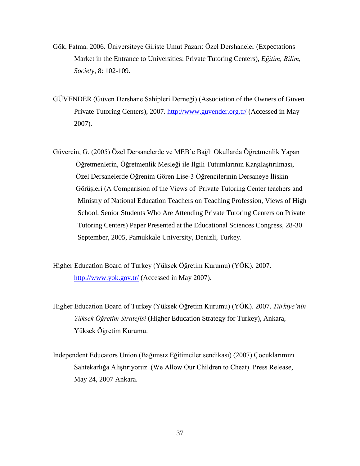- Gök, Fatma. 2006. Üniversiteye Girişte Umut Pazarı: Özel Dershaneler (Expectations Market in the Entrance to Universities: Private Tutoring Centers), *Eğitim, Bilim, Society,* 8: 102-109.
- GÜVENDER (Güven Dershane Sahipleri Derneği) (Association of the Owners of Güven Private Tutoring Centers), 2007. <http://www.guvender.org.tr/> (Accessed in May 2007).
- Güvercin, G. (2005) Özel Dersanelerde ve MEB'e Bağlı Okullarda Öğretmenlik Yapan Öğretmenlerin, Öğretmenlik Mesleği ile İlgili Tutumlarının Karşılaştırılması, Özel Dersanelerde Öğrenim Gören Lise-3 Öğrencilerinin Dersaneye İlişkin Görüşleri (A Comparision of the Views of Private Tutoring Center teachers and Ministry of National Education Teachers on Teaching Profession, Views of High School. Senior Students Who Are Attending Private Tutoring Centers on Private Tutoring Centers) Paper Presented at the Educational Sciences Congress, 28-30 September, 2005, Pamukkale University, Denizli, Turkey.

Higher Education Board of Turkey (Yüksek Öğretim Kurumu) (YÖK). 2007. <http://www.yok.gov.tr/> (Accessed in May 2007).

- Higher Education Board of Turkey (Yüksek Öğretim Kurumu) (YÖK). 2007. *Türkiye'nin Yüksek Öğretim Stratejisi* (Higher Education Strategy for Turkey), Ankara, Yüksek Öğretim Kurumu.
- Independent Educators Union (Bağımsız Eğitimciler sendikası) (2007) Çocuklarımızı Sahtekarlığa Alıştırıyoruz. (We Allow Our Children to Cheat). Press Release, May 24, 2007 Ankara.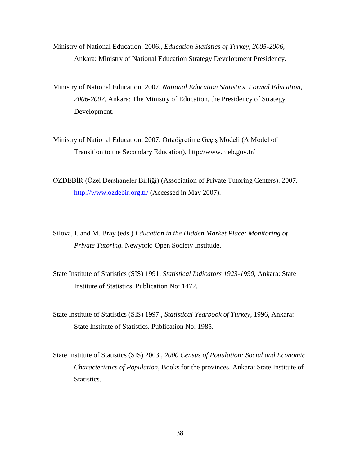Ministry of National Education. 2006., *Education Statistics of Turkey, 2005-2006,* Ankara: Ministry of National Education Strategy Development Presidency.

Ministry of National Education. 2007. *National Education Statistics, Formal Education, 2006-2007,* Ankara: The Ministry of Education, the Presidency of Strategy Development.

Ministry of National Education. 2007. Ortaöğretime Geçiş Modeli (A Model of Transition to the Secondary Education), http://www.meb.gov.tr/

ÖZDEBİR (Özel Dershaneler Birliği) (Association of Private Tutoring Centers). 2007. <http://www.ozdebir.org.tr/> (Accessed in May 2007).

Silova, I. and M. Bray (eds.) *Education in the Hidden Market Place: Monitoring of Private Tutoring.* Newyork: Open Society Institude.

State Institute of Statistics (SIS) 1991. *Statistical Indicators 1923-1990*, Ankara: State Institute of Statistics. Publication No: 1472.

State Institute of Statistics (SIS) 1997., *Statistical Yearbook of Turkey*, 1996, Ankara: State Institute of Statistics. Publication No: 1985.

State Institute of Statistics (SIS) 2003., *2000 Census of Population: Social and Economic Characteristics of Population*, Books for the provinces. Ankara: State Institute of Statistics.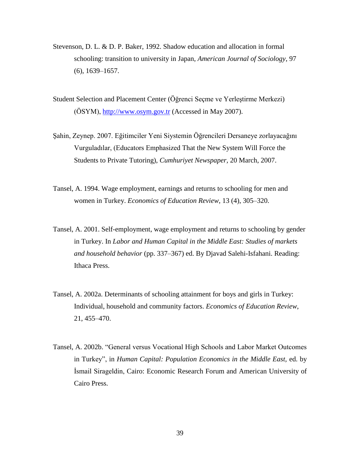- Stevenson, D. L. & D. P. Baker, 1992. Shadow education and allocation in formal schooling: transition to university in Japan, *American Journal of Sociology*, 97 (6), 1639–1657.
- Student Selection and Placement Center (Öğrenci Seçme ve Yerleştirme Merkezi) (ÖSYM), [http://www.osym.gov.tr](http://www.osym.gov.tr/) (Accessed in May 2007).
- Şahin, Zeynep. 2007. Eğitimciler Yeni Siystemin Öğrencileri Dersaneye zorlayacağını Vurguladılar, (Educators Emphasized That the New System Will Force the Students to Private Tutoring), *Cumhuriyet Newspaper,* 20 March, 2007.
- Tansel, A. 1994. Wage employment, earnings and returns to schooling for men and women in Turkey. *Economics of Education Review*, 13 (4), 305–320.
- Tansel, A. 2001. Self-employment, wage employment and returns to schooling by gender in Turkey. In *Labor and Human Capital in the Middle East: Studies of markets and household behavior* (pp. 337–367) ed. By Djavad Salehi-Isfahani. Reading: Ithaca Press.
- Tansel, A. 2002a. Determinants of schooling attainment for boys and girls in Turkey: Individual, household and community factors. *Economics of Education Review*, 21, 455–470.
- Tansel, A. 2002b. "General versus Vocational High Schools and Labor Market Outcomes in Turkey", in *Human Capital: Population Economics in the Middle East*, ed. by İsmail Sirageldin, Cairo: Economic Research Forum and American University of Cairo Press.